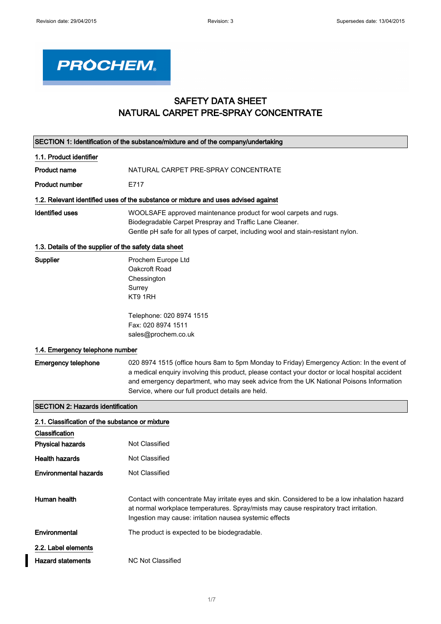

## SAFETY DATA SHEET NATURAL CARPET PRE-SPRAY CONCENTRATE

|                                                       | SECTION 1: Identification of the substance/mixture and of the company/undertaking                                                                                                                                                                                                                                                            |
|-------------------------------------------------------|----------------------------------------------------------------------------------------------------------------------------------------------------------------------------------------------------------------------------------------------------------------------------------------------------------------------------------------------|
| 1.1. Product identifier                               |                                                                                                                                                                                                                                                                                                                                              |
| <b>Product name</b>                                   | NATURAL CARPET PRE-SPRAY CONCENTRATE                                                                                                                                                                                                                                                                                                         |
| <b>Product number</b>                                 | E717                                                                                                                                                                                                                                                                                                                                         |
|                                                       | 1.2. Relevant identified uses of the substance or mixture and uses advised against                                                                                                                                                                                                                                                           |
| <b>Identified uses</b>                                | WOOLSAFE approved maintenance product for wool carpets and rugs.<br>Biodegradable Carpet Prespray and Traffic Lane Cleaner.<br>Gentle pH safe for all types of carpet, including wool and stain-resistant nylon.                                                                                                                             |
| 1.3. Details of the supplier of the safety data sheet |                                                                                                                                                                                                                                                                                                                                              |
| Supplier                                              | Prochem Europe Ltd<br>Oakcroft Road<br>Chessington<br>Surrey<br>KT9 1RH                                                                                                                                                                                                                                                                      |
|                                                       | Telephone: 020 8974 1515<br>Fax: 020 8974 1511<br>sales@prochem.co.uk                                                                                                                                                                                                                                                                        |
| 1.4. Emergency telephone number                       |                                                                                                                                                                                                                                                                                                                                              |
| <b>Emergency telephone</b>                            | 020 8974 1515 (office hours 8am to 5pm Monday to Friday) Emergency Action: In the event of<br>a medical enquiry involving this product, please contact your doctor or local hospital accident<br>and emergency department, who may seek advice from the UK National Poisons Information<br>Service, where our full product details are held. |
| <b>SECTION 2: Hazards identification</b>              |                                                                                                                                                                                                                                                                                                                                              |
| 2.1. Classification of the substance or mixture       |                                                                                                                                                                                                                                                                                                                                              |
| Classification<br><b>Physical hazards</b>             | Not Classified                                                                                                                                                                                                                                                                                                                               |
| <b>Health hazards</b>                                 | <b>Not Classified</b>                                                                                                                                                                                                                                                                                                                        |
| <b>Environmental hazards</b>                          | Not Classified                                                                                                                                                                                                                                                                                                                               |
| Human health                                          | Contact with concentrate May irritate eyes and skin. Considered to be a low inhalation hazard<br>at normal workplace temperatures. Spray/mists may cause respiratory tract irritation.<br>Ingestion may cause: irritation nausea systemic effects                                                                                            |
| Environmental                                         | The product is expected to be biodegradable.                                                                                                                                                                                                                                                                                                 |
| 2.2. Label elements                                   |                                                                                                                                                                                                                                                                                                                                              |
| <b>Hazard statements</b>                              | <b>NC Not Classified</b>                                                                                                                                                                                                                                                                                                                     |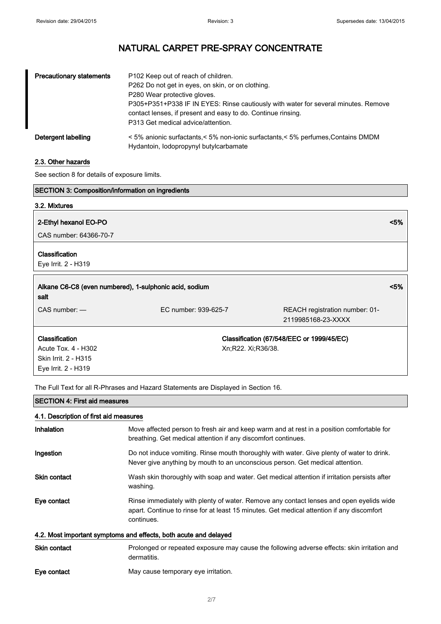| <b>Precautionary statements</b> | P102 Keep out of reach of children.<br>P262 Do not get in eyes, on skin, or on clothing.<br>P280 Wear protective gloves.<br>P305+P351+P338 IF IN EYES: Rinse cautiously with water for several minutes. Remove<br>contact lenses, if present and easy to do. Continue rinsing.<br>P313 Get medical advice/attention. |
|---------------------------------|----------------------------------------------------------------------------------------------------------------------------------------------------------------------------------------------------------------------------------------------------------------------------------------------------------------------|
| Detergent labelling             | < 5% anionic surfactants,< 5% non-ionic surfactants,< 5% perfumes, Contains DMDM<br>Hydantoin, lodopropynyl butylcarbamate                                                                                                                                                                                           |

#### 2.3. Other hazards

See section 8 for details of exposure limits.

| <b>SECTION 3: Composition/information on ingredients</b>       |                      |                                                      |         |
|----------------------------------------------------------------|----------------------|------------------------------------------------------|---------|
| 3.2. Mixtures                                                  |                      |                                                      |         |
| 2-Ethyl hexanol EO-PO                                          |                      |                                                      | $< 5\%$ |
| CAS number: 64366-70-7                                         |                      |                                                      |         |
| Classification                                                 |                      |                                                      |         |
| Eye Irrit. 2 - H319                                            |                      |                                                      |         |
| Alkane C6-C8 (even numbered), 1-sulphonic acid, sodium<br>salt |                      |                                                      | < 5%    |
| $CAS$ number: $-$                                              | EC number: 939-625-7 | REACH registration number: 01-<br>2119985168-23-XXXX |         |
| Classification                                                 |                      | Classification (67/548/EEC or 1999/45/EC)            |         |
| Acute Tox. 4 - H302                                            | Xn;R22. Xi;R36/38.   |                                                      |         |
| Skin Irrit. 2 - H315                                           |                      |                                                      |         |
| Eye Irrit. 2 - H319                                            |                      |                                                      |         |

The Full Text for all R-Phrases and Hazard Statements are Displayed in Section 16.

#### SECTION 4: First aid measures

### 4.1. Description of first aid measures

| Inhalation                                                       | Move affected person to fresh air and keep warm and at rest in a position comfortable for<br>breathing. Get medical attention if any discomfort continues.                                         |
|------------------------------------------------------------------|----------------------------------------------------------------------------------------------------------------------------------------------------------------------------------------------------|
| Ingestion                                                        | Do not induce vomiting. Rinse mouth thoroughly with water. Give plenty of water to drink.<br>Never give anything by mouth to an unconscious person. Get medical attention.                         |
| <b>Skin contact</b>                                              | Wash skin thoroughly with soap and water. Get medical attention if irritation persists after<br>washing.                                                                                           |
| Eye contact                                                      | Rinse immediately with plenty of water. Remove any contact lenses and open eyelids wide<br>apart. Continue to rinse for at least 15 minutes. Get medical attention if any discomfort<br>continues. |
| 4.2. Most important symptoms and effects, both acute and delayed |                                                                                                                                                                                                    |
| <b>Skin contact</b>                                              | Prolonged or repeated exposure may cause the following adverse effects: skin irritation and<br>dermatitis.                                                                                         |
| Eye contact                                                      | May cause temporary eye irritation.                                                                                                                                                                |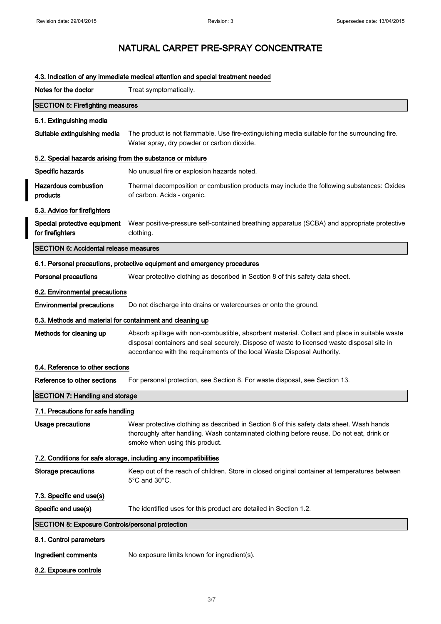# NATURAL CARPET PRE-SPRAY CONCENTRATE

| Notes for the doctor                                       | Treat symptomatically.                                                                                                                                                                                                                                                 |
|------------------------------------------------------------|------------------------------------------------------------------------------------------------------------------------------------------------------------------------------------------------------------------------------------------------------------------------|
| <b>SECTION 5: Firefighting measures</b>                    |                                                                                                                                                                                                                                                                        |
| 5.1. Extinguishing media                                   |                                                                                                                                                                                                                                                                        |
| Suitable extinguishing media                               | The product is not flammable. Use fire-extinguishing media suitable for the surrounding fire.<br>Water spray, dry powder or carbon dioxide.                                                                                                                            |
| 5.2. Special hazards arising from the substance or mixture |                                                                                                                                                                                                                                                                        |
| Specific hazards                                           | No unusual fire or explosion hazards noted.                                                                                                                                                                                                                            |
| <b>Hazardous combustion</b><br>products                    | Thermal decomposition or combustion products may include the following substances: Oxides<br>of carbon. Acids - organic.                                                                                                                                               |
| 5.3. Advice for firefighters                               |                                                                                                                                                                                                                                                                        |
| Special protective equipment<br>for firefighters           | Wear positive-pressure self-contained breathing apparatus (SCBA) and appropriate protective<br>clothing.                                                                                                                                                               |
| <b>SECTION 6: Accidental release measures</b>              |                                                                                                                                                                                                                                                                        |
|                                                            | 6.1. Personal precautions, protective equipment and emergency procedures                                                                                                                                                                                               |
| <b>Personal precautions</b>                                | Wear protective clothing as described in Section 8 of this safety data sheet.                                                                                                                                                                                          |
| 6.2. Environmental precautions                             |                                                                                                                                                                                                                                                                        |
| <b>Environmental precautions</b>                           | Do not discharge into drains or watercourses or onto the ground.                                                                                                                                                                                                       |
| 6.3. Methods and material for containment and cleaning up  |                                                                                                                                                                                                                                                                        |
| Methods for cleaning up                                    | Absorb spillage with non-combustible, absorbent material. Collect and place in suitable waste<br>disposal containers and seal securely. Dispose of waste to licensed waste disposal site in<br>accordance with the requirements of the local Waste Disposal Authority. |
| 6.4. Reference to other sections                           |                                                                                                                                                                                                                                                                        |
| Reference to other sections                                | For personal protection, see Section 8. For waste disposal, see Section 13.                                                                                                                                                                                            |
| <b>SECTION 7: Handling and storage</b>                     |                                                                                                                                                                                                                                                                        |
| 7.1. Precautions for safe handling                         |                                                                                                                                                                                                                                                                        |
| Usage precautions                                          | Wear protective clothing as described in Section 8 of this safety data sheet. Wash hands<br>thoroughly after handling. Wash contaminated clothing before reuse. Do not eat, drink or<br>smoke when using this product.                                                 |
|                                                            | 7.2. Conditions for safe storage, including any incompatibilities                                                                                                                                                                                                      |
| <b>Storage precautions</b>                                 | Keep out of the reach of children. Store in closed original container at temperatures between<br>5°C and 30°C.                                                                                                                                                         |
| 7.3. Specific end use(s)                                   |                                                                                                                                                                                                                                                                        |
| Specific end use(s)                                        | The identified uses for this product are detailed in Section 1.2.                                                                                                                                                                                                      |
| <b>SECTION 8: Exposure Controls/personal protection</b>    |                                                                                                                                                                                                                                                                        |
| 8.1. Control parameters                                    |                                                                                                                                                                                                                                                                        |
| Ingredient comments                                        | No exposure limits known for ingredient(s).                                                                                                                                                                                                                            |
| 8.2. Exposure controls                                     |                                                                                                                                                                                                                                                                        |

#### 4.3. Indication of any immediate medical attention and special treatment needed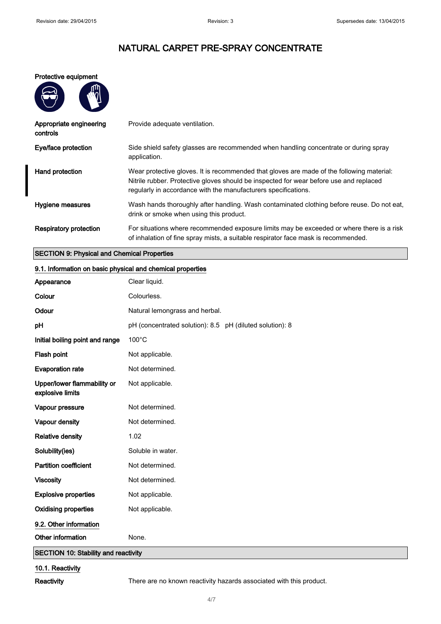#### Protective equipment

| Appropriate engineering<br>controls | Provide adequate ventilation.                                                                                                                                                                                                                         |
|-------------------------------------|-------------------------------------------------------------------------------------------------------------------------------------------------------------------------------------------------------------------------------------------------------|
| Eye/face protection                 | Side shield safety glasses are recommended when handling concentrate or during spray<br>application.                                                                                                                                                  |
| Hand protection                     | Wear protective gloves. It is recommended that gloves are made of the following material:<br>Nitrile rubber. Protective gloves should be inspected for wear before use and replaced<br>regularly in accordance with the manufacturers specifications. |
| Hygiene measures                    | Wash hands thoroughly after handling. Wash contaminated clothing before reuse. Do not eat,<br>drink or smoke when using this product.                                                                                                                 |
| <b>Respiratory protection</b>       | For situations where recommended exposure limits may be exceeded or where there is a risk<br>of inhalation of fine spray mists, a suitable respirator face mask is recommended.                                                                       |

#### SECTION 9: Physical and Chemical Properties

#### 9.1. Information on basic physical and chemical properties

| Appearance                                      | Clear liquid.                                            |
|-------------------------------------------------|----------------------------------------------------------|
| Colour                                          | Colourless.                                              |
| Odour                                           | Natural lemongrass and herbal.                           |
| pH                                              | pH (concentrated solution): 8.5 pH (diluted solution): 8 |
| Initial boiling point and range                 | $100^{\circ}$ C                                          |
| Flash point                                     | Not applicable.                                          |
| <b>Evaporation rate</b>                         | Not determined.                                          |
| Upper/lower flammability or<br>explosive limits | Not applicable.                                          |
| Vapour pressure                                 | Not determined.                                          |
| Vapour density                                  | Not determined.                                          |
| <b>Relative density</b>                         | 1.02                                                     |
| Solubility(ies)                                 | Soluble in water.                                        |
| <b>Partition coefficient</b>                    | Not determined.                                          |
| <b>Viscosity</b>                                | Not determined.                                          |
| <b>Explosive properties</b>                     | Not applicable.                                          |
| <b>Oxidising properties</b>                     | Not applicable.                                          |
| 9.2. Other information                          |                                                          |
| Other information                               | None.                                                    |
| <b>SECTION 10: Stability and reactivity</b>     |                                                          |

#### 10.1. Reactivity

Reactivity There are no known reactivity hazards associated with this product.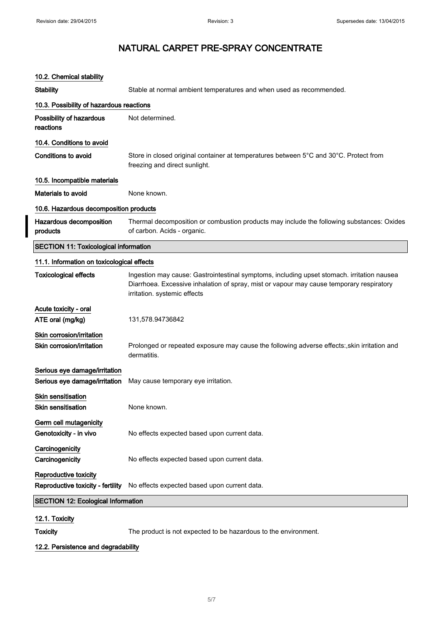| 10.2. Chemical stability                                       |                                                                                                                                                                                                                        |
|----------------------------------------------------------------|------------------------------------------------------------------------------------------------------------------------------------------------------------------------------------------------------------------------|
| <b>Stability</b>                                               | Stable at normal ambient temperatures and when used as recommended.                                                                                                                                                    |
| 10.3. Possibility of hazardous reactions                       |                                                                                                                                                                                                                        |
| Possibility of hazardous<br>reactions                          | Not determined.                                                                                                                                                                                                        |
| 10.4. Conditions to avoid                                      |                                                                                                                                                                                                                        |
| <b>Conditions to avoid</b>                                     | Store in closed original container at temperatures between 5°C and 30°C. Protect from<br>freezing and direct sunlight.                                                                                                 |
| 10.5. Incompatible materials                                   |                                                                                                                                                                                                                        |
| Materials to avoid                                             | None known.                                                                                                                                                                                                            |
| 10.6. Hazardous decomposition products                         |                                                                                                                                                                                                                        |
| Hazardous decomposition<br>products                            | Thermal decomposition or combustion products may include the following substances: Oxides<br>of carbon. Acids - organic.                                                                                               |
| <b>SECTION 11: Toxicological information</b>                   |                                                                                                                                                                                                                        |
| 11.1. Information on toxicological effects                     |                                                                                                                                                                                                                        |
| <b>Toxicological effects</b>                                   | Ingestion may cause: Gastrointestinal symptoms, including upset stomach. irritation nausea<br>Diarrhoea. Excessive inhalation of spray, mist or vapour may cause temporary respiratory<br>irritation. systemic effects |
| Acute toxicity - oral                                          |                                                                                                                                                                                                                        |
| ATE oral (mg/kg)                                               | 131,578.94736842                                                                                                                                                                                                       |
| Skin corrosion/irritation<br>Skin corrosion/irritation         | Prolonged or repeated exposure may cause the following adverse effects:, skin irritation and<br>dermatitis.                                                                                                            |
| Serious eye damage/irritation<br>Serious eye damage/irritation | May cause temporary eye irritation.                                                                                                                                                                                    |
| <b>Skin sensitisation</b><br><b>Skin sensitisation</b>         | None known.                                                                                                                                                                                                            |
| Germ cell mutagenicity<br>Genotoxicity - in vivo               | No effects expected based upon current data.                                                                                                                                                                           |
| Carcinogenicity<br>Carcinogenicity                             | No effects expected based upon current data.                                                                                                                                                                           |
| Reproductive toxicity<br>Reproductive toxicity - fertility     | No effects expected based upon current data.                                                                                                                                                                           |
| <b>SECTION 12: Ecological Information</b>                      |                                                                                                                                                                                                                        |
| 12.1 Tovicity                                                  |                                                                                                                                                                                                                        |

12.1. Toxicity

Toxicity The product is not expected to be hazardous to the environment.

### 12.2. Persistence and degradability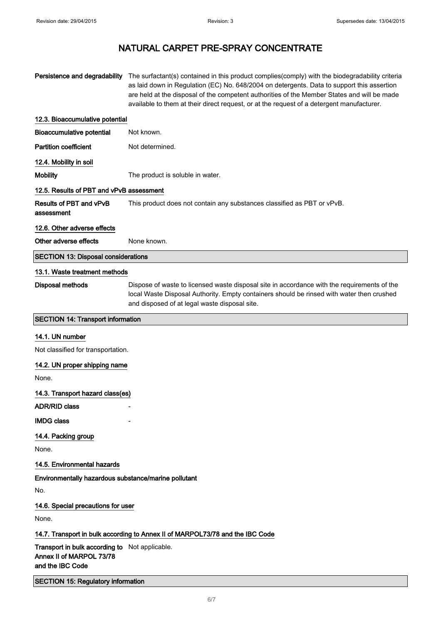| Persistence and degradability                                                                  | The surfactant(s) contained in this product complies(comply) with the biodegradability criteria<br>as laid down in Regulation (EC) No. 648/2004 on detergents. Data to support this assertion<br>are held at the disposal of the competent authorities of the Member States and will be made<br>available to them at their direct request, or at the request of a detergent manufacturer. |  |
|------------------------------------------------------------------------------------------------|-------------------------------------------------------------------------------------------------------------------------------------------------------------------------------------------------------------------------------------------------------------------------------------------------------------------------------------------------------------------------------------------|--|
| 12.3. Bioaccumulative potential                                                                |                                                                                                                                                                                                                                                                                                                                                                                           |  |
| Bioaccumulative potential                                                                      | Not known.                                                                                                                                                                                                                                                                                                                                                                                |  |
| <b>Partition coefficient</b>                                                                   | Not determined.                                                                                                                                                                                                                                                                                                                                                                           |  |
| 12.4. Mobility in soil                                                                         |                                                                                                                                                                                                                                                                                                                                                                                           |  |
| <b>Mobility</b>                                                                                | The product is soluble in water.                                                                                                                                                                                                                                                                                                                                                          |  |
| 12.5. Results of PBT and vPvB assessment                                                       |                                                                                                                                                                                                                                                                                                                                                                                           |  |
| Results of PBT and vPvB<br>assessment                                                          | This product does not contain any substances classified as PBT or vPvB.                                                                                                                                                                                                                                                                                                                   |  |
| 12.6. Other adverse effects                                                                    |                                                                                                                                                                                                                                                                                                                                                                                           |  |
| Other adverse effects                                                                          | None known.                                                                                                                                                                                                                                                                                                                                                                               |  |
| <b>SECTION 13: Disposal considerations</b>                                                     |                                                                                                                                                                                                                                                                                                                                                                                           |  |
| 13.1. Waste treatment methods                                                                  |                                                                                                                                                                                                                                                                                                                                                                                           |  |
| <b>Disposal methods</b>                                                                        | Dispose of waste to licensed waste disposal site in accordance with the requirements of the<br>local Waste Disposal Authority. Empty containers should be rinsed with water then crushed<br>and disposed of at legal waste disposal site.                                                                                                                                                 |  |
| <b>SECTION 14: Transport information</b>                                                       |                                                                                                                                                                                                                                                                                                                                                                                           |  |
| 14.1. UN number                                                                                |                                                                                                                                                                                                                                                                                                                                                                                           |  |
| Not classified for transportation.                                                             |                                                                                                                                                                                                                                                                                                                                                                                           |  |
| 14.2. UN proper shipping name                                                                  |                                                                                                                                                                                                                                                                                                                                                                                           |  |
| None.                                                                                          |                                                                                                                                                                                                                                                                                                                                                                                           |  |
| 14.3. Transport hazard class(es)                                                               |                                                                                                                                                                                                                                                                                                                                                                                           |  |
| <b>ADR/RID class</b>                                                                           |                                                                                                                                                                                                                                                                                                                                                                                           |  |
| <b>IMDG class</b>                                                                              |                                                                                                                                                                                                                                                                                                                                                                                           |  |
| 14.4. Packing group                                                                            |                                                                                                                                                                                                                                                                                                                                                                                           |  |
| None.                                                                                          |                                                                                                                                                                                                                                                                                                                                                                                           |  |
| 14.5. Environmental hazards                                                                    |                                                                                                                                                                                                                                                                                                                                                                                           |  |
| Environmentally hazardous substance/marine pollutant                                           |                                                                                                                                                                                                                                                                                                                                                                                           |  |
| No.                                                                                            |                                                                                                                                                                                                                                                                                                                                                                                           |  |
| 14.6. Special precautions for user                                                             |                                                                                                                                                                                                                                                                                                                                                                                           |  |
| None.                                                                                          |                                                                                                                                                                                                                                                                                                                                                                                           |  |
| 14.7. Transport in bulk according to Annex II of MARPOL73/78 and the IBC Code                  |                                                                                                                                                                                                                                                                                                                                                                                           |  |
| Transport in bulk according to Not applicable.<br>Annex II of MARPOL 73/78<br>and the IBC Code |                                                                                                                                                                                                                                                                                                                                                                                           |  |
| <b>SECTION 15: Regulatory information</b>                                                      |                                                                                                                                                                                                                                                                                                                                                                                           |  |
|                                                                                                | 6/7                                                                                                                                                                                                                                                                                                                                                                                       |  |